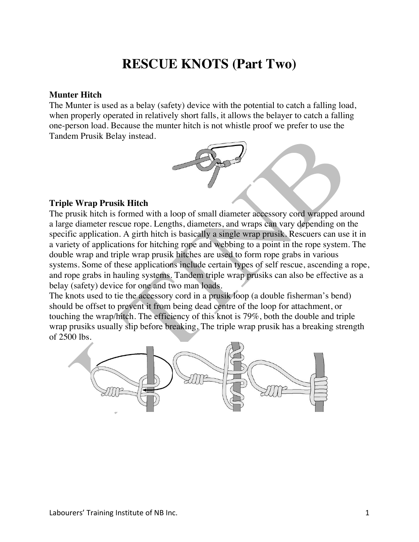# **RESCUE KNOTS (Part Two)**

#### **Munter Hitch**

The Munter is used as a belay (safety) device with the potential to catch a falling load, when properly operated in relatively short falls, it allows the belayer to catch a falling one-person load. Because the munter hitch is not whistle proof we prefer to use the Tandem Prusik Belay instead.



# **Triple Wrap Prusik Hitch**

The prusik hitch is formed with a loop of small diameter accessory cord wrapped around a large diameter rescue rope. Lengths, diameters, and wraps can vary depending on the specific application. A girth hitch is basically a single wrap prusik. Rescuers can use it in a variety of applications for hitching rope and webbing to a point in the rope system. The double wrap and triple wrap prusik hitches are used to form rope grabs in various systems. Some of these applications include certain types of self rescue, ascending a rope, and rope grabs in hauling systems. Tandem triple wrap prusiks can also be effective as a belay (safety) device for one and two man loads.

The knots used to tie the accessory cord in a prusik loop (a double fisherman's bend) should be offset to prevent it from being dead centre of the loop for attachment, or touching the wrap/hitch. The efficiency of this knot is 79%, both the double and triple wrap prusiks usually slip before breaking. The triple wrap prusik has a breaking strength of 2500 lbs.

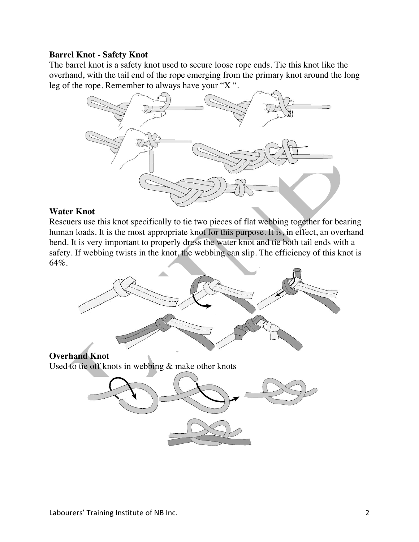# **Barrel Knot - Safety Knot**

The barrel knot is a safety knot used to secure loose rope ends. Tie this knot like the overhand, with the tail end of the rope emerging from the primary knot around the long leg of the rope. Remember to always have your "X ".



#### **Water Knot**

Rescuers use this knot specifically to tie two pieces of flat webbing together for bearing human loads. It is the most appropriate knot for this purpose. It is, in effect, an overhand bend. It is very important to properly dress the water knot and tie both tail ends with a safety. If webbing twists in the knot, the webbing can slip. The efficiency of this knot is 64%.

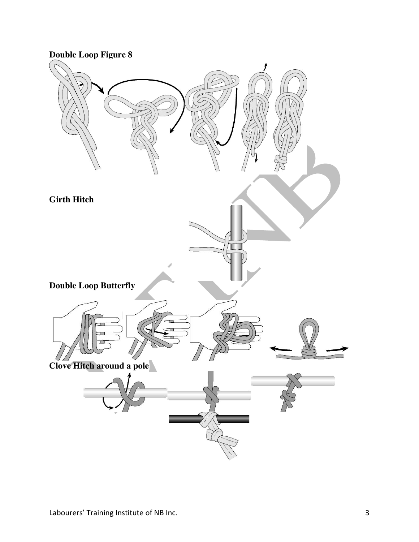